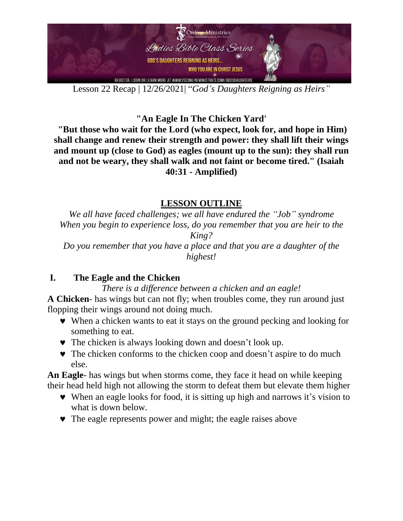

Lesson 22 Recap | 12/26/2021| "*God's Daughters Reigning as Heirs"*

### **"An Eagle In The Chicken Yard'**

**"But those who wait for the Lord (who expect, look for, and hope in Him) shall change and renew their strength and power: they shall lift their wings and mount up (close to God) as eagles (mount up to the sun): they shall run and not be weary, they shall walk and not faint or become tired." (Isaiah 40:31 - Amplified)** 

### **LESSON OUTLINE**

*We all have faced challenges; we all have endured the "Job" syndrome When you begin to experience loss, do you remember that you are heir to the* 

*King?*

*Do you remember that you have a place and that you are a daughter of the highest!* 

#### **I. The Eagle and the Chicken**

*There is a difference between a chicken and an eagle!*

**A Chicken**- has wings but can not fly; when troubles come, they run around just flopping their wings around not doing much.

- When a chicken wants to eat it stays on the ground pecking and looking for something to eat.
- The chicken is always looking down and doesn't look up.
- The chicken conforms to the chicken coop and doesn't aspire to do much else.

**An Eagle**- has wings but when storms come, they face it head on while keeping their head held high not allowing the storm to defeat them but elevate them higher

- When an eagle looks for food, it is sitting up high and narrows it's vision to what is down below.
- The eagle represents power and might; the eagle raises above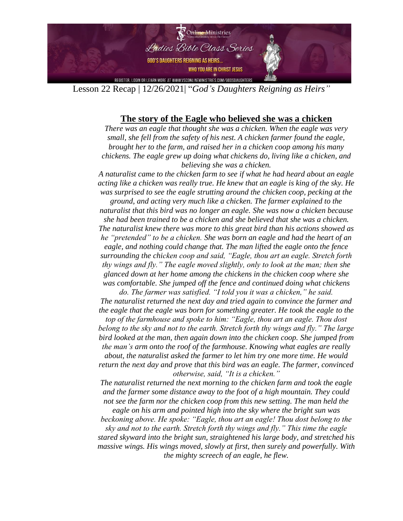

Lesson 22 Recap | 12/26/2021| "*God's Daughters Reigning as Heirs"*

#### **The story of the Eagle who believed she was a chicken**

*There was an eagle that thought she was a chicken. When the eagle was very small, she fell from the safety of his nest. A chicken farmer found the eagle, brought her to the farm, and raised her in a chicken coop among his many chickens. The eagle grew up doing what chickens do, living like a chicken, and believing she was a chicken.* 

*A naturalist came to the chicken farm to see if what he had heard about an eagle acting like a chicken was really true. He knew that an eagle is king of the sky. He was surprised to see the eagle strutting around the chicken coop, pecking at the ground, and acting very much like a chicken. The farmer explained to the naturalist that this bird was no longer an eagle. She was now a chicken because she had been trained to be a chicken and she believed that she was a chicken. The naturalist knew there was more to this great bird than his actions showed as he "pretended" to be a chicken. She was born an eagle and had the heart of an eagle, and nothing could change that. The man lifted the eagle onto the fence surrounding the chicken coop and said, "Eagle, thou art an eagle. Stretch forth thy wings and fly." The eagle moved slightly, only to look at the man; then she glanced down at her home among the chickens in the chicken coop where she was comfortable. She jumped off the fence and continued doing what chickens do. The farmer was satisfied. "I told you it was a chicken," he said. The naturalist returned the next day and tried again to convince the farmer and the eagle that the eagle was born for something greater. He took the eagle to the top of the farmhouse and spoke to him: "Eagle, thou art an eagle. Thou dost belong to the sky and not to the earth. Stretch forth thy wings and fly." The large bird looked at the man, then again down into the chicken coop. She jumped from the man's arm onto the roof of the farmhouse. Knowing what eagles are really* 

*about, the naturalist asked the farmer to let him try one more time. He would return the next day and prove that this bird was an eagle. The farmer, convinced otherwise, said, "It is a chicken."* 

*The naturalist returned the next morning to the chicken farm and took the eagle and the farmer some distance away to the foot of a high mountain. They could not see the farm nor the chicken coop from this new setting. The man held the eagle on his arm and pointed high into the sky where the bright sun was* 

*beckoning above. He spoke: "Eagle, thou art an eagle! Thou dost belong to the sky and not to the earth. Stretch forth thy wings and fly." This time the eagle stared skyward into the bright sun, straightened his large body, and stretched his massive wings. His wings moved, slowly at first, then surely and powerfully. With the mighty screech of an eagle, he flew.*